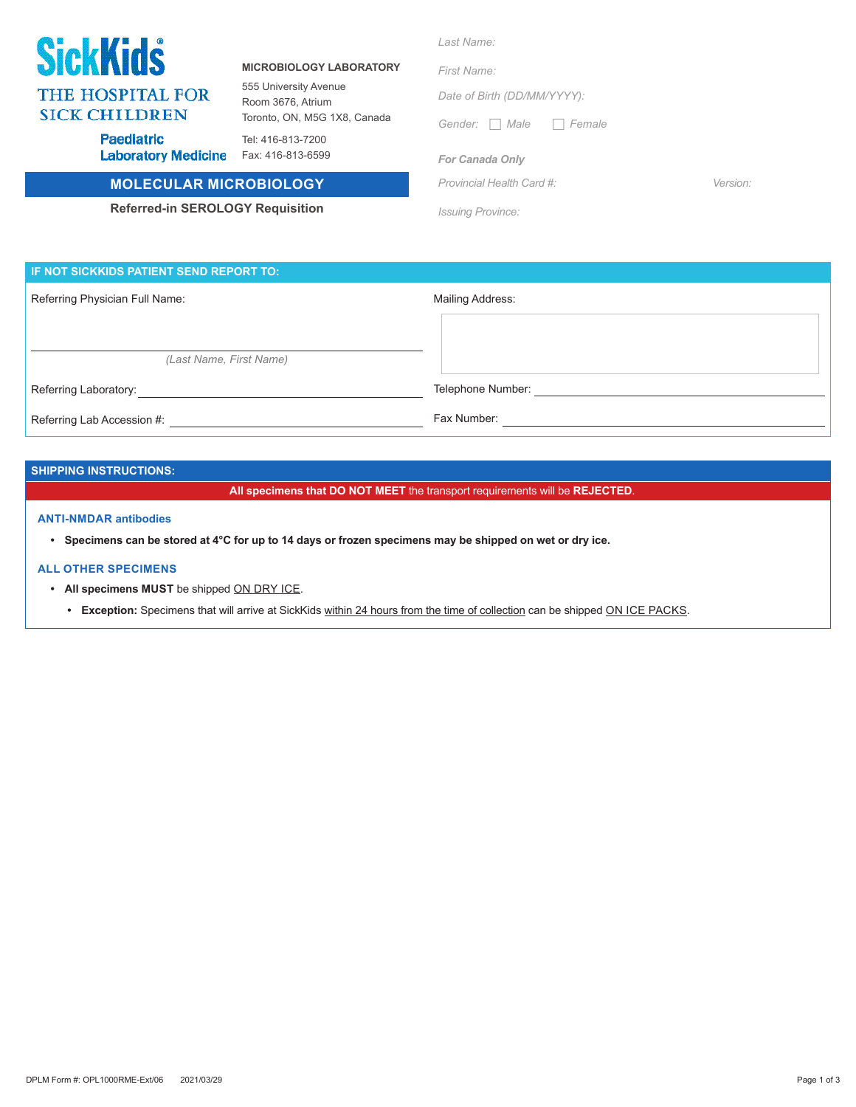# **SickKids THE HOSPITAL FOR SICK CHILDREN**

**Paediatric** 

#### **MICROBIOLOGY LABORATORY**

555 University Avenue Room 3676, Atrium Toronto, ON, M5G 1X8, Canada

Tel: 416-813-7200 Laboratory Medicine Fax: 416-813-6599

## **MOLECULAR MICROBIOLOGY**

**Referred-in SEROLOGY Requisition**

*Last Name:* 

*First Name:* 

*Date of Birth (DD/MM/YYYY):*

*Gender: Male Female*

*For Canada Only*

*Provincial Health Card #: Version:*

*Issuing Province:* 

## **IF NOT SICKKIDS PATIENT SEND REPORT TO:**

| Referring Physician Full Name: | Mailing Address:  |
|--------------------------------|-------------------|
|                                |                   |
| (Last Name, First Name)        |                   |
| Referring Laboratory:          | Telephone Number: |
| Referring Lab Accession #:     | Fax Number:       |

### **SHIPPING INSTRUCTIONS:**

**All specimens that DO NOT MEET** the transport requirements will be **REJECTED**.

#### **ANTI-NMDAR antibodies**

**• Specimens can be stored at 4°C for up to 14 days or frozen specimens may be shipped on wet or dry ice.**

#### **ALL OTHER SPECIMENS**

- **• All specimens MUST** be shipped ON DRY ICE.
	- **• Exception:** Specimens that will arrive at SickKids within 24 hours from the time of collection can be shipped ON ICE PACKS.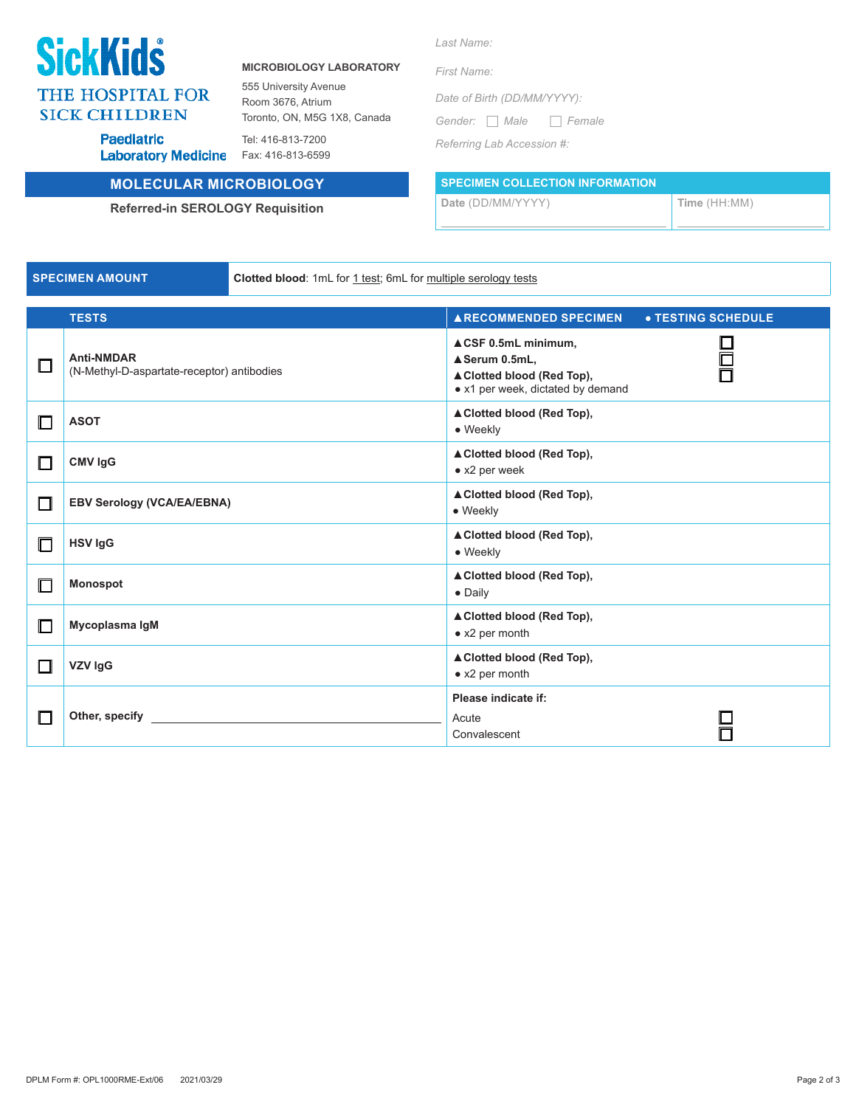# **SickKids THE HOSPITAL FOR SICK CHILDREN**

#### **MICROBIOLOGY LABORATORY**

555 University Avenue Room 3676, Atrium Toronto, ON, M5G 1X8, Canada

**Paediatric** Tel: 416-813-7200 Laboratory Medicine Fax: 416-813-6599

## **MOLECULAR MICROBIOLOGY**

**Referred-in SEROLOGY Requisition**

*Last Name:* 

*First Name:* 

*Date of Birth (DD/MM/YYYY):*

*Gender: Male Female*

*Referring Lab Accession #:*

**SPECIMEN COLLECTION INFORMATION**

**Date** (DD/MM/YYYY) **Time** (HH:MM)

**SPECIMEN AMOUNT Clotted blood**: 1mL for 1 test; 6mL for multiple serology tests

|        | <b>TESTS</b>                                                    | <b>▲RECOMMENDED SPECIMEN</b><br>• TESTING SCHEDULE                                                                      |
|--------|-----------------------------------------------------------------|-------------------------------------------------------------------------------------------------------------------------|
| ◻      | <b>Anti-NMDAR</b><br>(N-Methyl-D-aspartate-receptor) antibodies | ▲CSF 0.5mL minimum,<br>0<br>0<br>0<br>▲ Serum 0.5mL,<br>▲ Clotted blood (Red Top),<br>• x1 per week, dictated by demand |
| $\Box$ | <b>ASOT</b>                                                     | ▲ Clotted blood (Red Top),<br>• Weekly                                                                                  |
| $\Box$ | <b>CMV IgG</b>                                                  | ▲ Clotted blood (Red Top),<br>$\bullet$ x2 per week                                                                     |
| □      | <b>EBV Serology (VCA/EA/EBNA)</b>                               | ▲ Clotted blood (Red Top),<br>• Weekly                                                                                  |
| $\Box$ | <b>HSV IgG</b>                                                  | ▲ Clotted blood (Red Top),<br>• Weekly                                                                                  |
| $\Box$ | <b>Monospot</b>                                                 | ▲ Clotted blood (Red Top),<br>$\bullet$ Daily                                                                           |
| □      | Mycoplasma IgM                                                  | ▲ Clotted blood (Red Top),<br>$\bullet$ x2 per month                                                                    |
| □      | VZV IgG                                                         | ▲ Clotted blood (Red Top),<br>$\bullet$ x2 per month                                                                    |
| □      | Other, specify                                                  | Please indicate if:<br>Acute<br>Convalescent                                                                            |